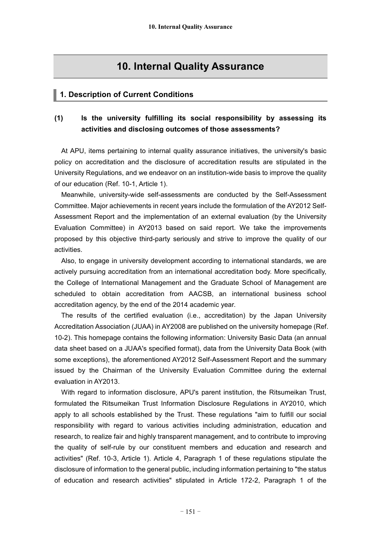# **10. Internal Quality Assurance**

#### **1. Description of Current Conditions**

# **(1) Is the university fulfilling its social responsibility by assessing its activities and disclosing outcomes of those assessments?**

At APU, items pertaining to internal quality assurance initiatives, the university's basic policy on accreditation and the disclosure of accreditation results are stipulated in the University Regulations, and we endeavor on an institution-wide basis to improve the quality of our education (Ref. 10-1, Article 1).

Meanwhile, university-wide self-assessments are conducted by the Self-Assessment Committee. Major achievements in recent years include the formulation of the AY2012 Self-Assessment Report and the implementation of an external evaluation (by the University Evaluation Committee) in AY2013 based on said report. We take the improvements proposed by this objective third-party seriously and strive to improve the quality of our activities.

Also, to engage in university development according to international standards, we are actively pursuing accreditation from an international accreditation body. More specifically, the College of International Management and the Graduate School of Management are scheduled to obtain accreditation from AACSB, an international business school accreditation agency, by the end of the 2014 academic year.

The results of the certified evaluation (i.e., accreditation) by the Japan University Accreditation Association (JUAA) in AY2008 are published on the university homepage (Ref. 10-2). This homepage contains the following information: University Basic Data (an annual data sheet based on a JUAA's specified format), data from the University Data Book (with some exceptions), the aforementioned AY2012 Self-Assessment Report and the summary issued by the Chairman of the University Evaluation Committee during the external evaluation in AY2013.

With regard to information disclosure, APU's parent institution, the Ritsumeikan Trust, formulated the Ritsumeikan Trust Information Disclosure Regulations in AY2010, which apply to all schools established by the Trust. These regulations "aim to fulfill our social responsibility with regard to various activities including administration, education and research, to realize fair and highly transparent management, and to contribute to improving the quality of self-rule by our constituent members and education and research and activities" (Ref. 10-3, Article 1). Article 4, Paragraph 1 of these regulations stipulate the disclosure of information to the general public, including information pertaining to "the status of education and research activities" stipulated in Article 172-2, Paragraph 1 of the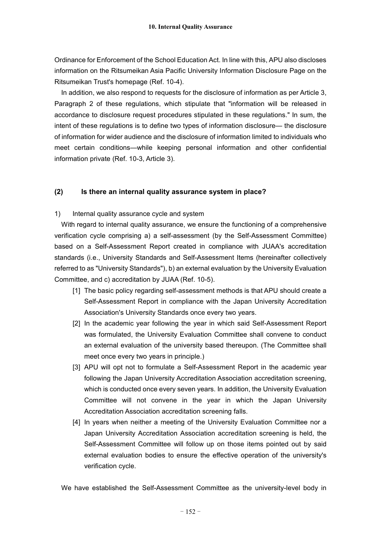Ordinance for Enforcement of the School Education Act. In line with this, APU also discloses information on the Ritsumeikan Asia Pacific University Information Disclosure Page on the Ritsumeikan Trust's homepage (Ref. 10-4).

In addition, we also respond to requests for the disclosure of information as per Article 3, Paragraph 2 of these regulations, which stipulate that "information will be released in accordance to disclosure request procedures stipulated in these regulations." In sum, the intent of these regulations is to define two types of information disclosure— the disclosure of information for wider audience and the disclosure of information limited to individuals who meet certain conditions—while keeping personal information and other confidential information private (Ref. 10-3, Article 3).

## **(2) Is there an internal quality assurance system in place?**

#### 1) Internal quality assurance cycle and system

With regard to internal quality assurance, we ensure the functioning of a comprehensive verification cycle comprising a) a self-assessment (by the Self-Assessment Committee) based on a Self-Assessment Report created in compliance with JUAA's accreditation standards (i.e., University Standards and Self-Assessment Items (hereinafter collectively referred to as "University Standards"), b) an external evaluation by the University Evaluation Committee, and c) accreditation by JUAA (Ref. 10-5).

- [1] The basic policy regarding self-assessment methods is that APU should create a Self-Assessment Report in compliance with the Japan University Accreditation Association's University Standards once every two years.
- [2] In the academic year following the year in which said Self-Assessment Report was formulated, the University Evaluation Committee shall convene to conduct an external evaluation of the university based thereupon. (The Committee shall meet once every two years in principle.)
- [3] APU will opt not to formulate a Self-Assessment Report in the academic year following the Japan University Accreditation Association accreditation screening, which is conducted once every seven years. In addition, the University Evaluation Committee will not convene in the year in which the Japan University Accreditation Association accreditation screening falls.
- [4] In years when neither a meeting of the University Evaluation Committee nor a Japan University Accreditation Association accreditation screening is held, the Self-Assessment Committee will follow up on those items pointed out by said external evaluation bodies to ensure the effective operation of the university's verification cycle.

We have established the Self-Assessment Committee as the university-level body in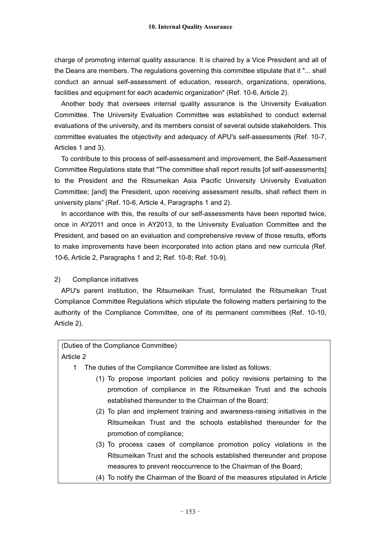charge of promoting internal quality assurance. It is chaired by a Vice President and all of the Deans are members. The regulations governing this committee stipulate that it "... shall conduct an annual self-assessment of education, research, organizations, operations, facilities and equipment for each academic organization" (Ref. 10-6, Article 2).

Another body that oversees internal quality assurance is the University Evaluation Committee. The University Evaluation Committee was established to conduct external evaluations of the university, and its members consist of several outside stakeholders. This committee evaluates the objectivity and adequacy of APU's self-assessments (Ref. 10-7, Articles 1 and 3).

To contribute to this process of self-assessment and improvement, the Self-Assessment Committee Regulations state that "The committee shall report results [of self-assessments] to the President and the Ritsumeikan Asia Pacific University University Evaluation Committee; [and] the President, upon receiving assessment results, shall reflect them in university plans" (Ref. 10-6, Article 4, Paragraphs 1 and 2).

In accordance with this, the results of our self-assessments have been reported twice, once in AY2011 and once in AY2013, to the University Evaluation Committee and the President, and based on an evaluation and comprehensive review of those results, efforts to make improvements have been incorporated into action plans and new curricula (Ref. 10-6, Article 2, Paragraphs 1 and 2; Ref. 10-8; Ref. 10-9).

## 2) Compliance initiatives

APU's parent institution, the Ritsumeikan Trust, formulated the Ritsumeikan Trust Compliance Committee Regulations which stipulate the following matters pertaining to the authority of the Compliance Committee, one of its permanent committees (Ref. 10-10, Article 2).

## (Duties of the Compliance Committee) Article 2

- 1 The duties of the Compliance Committee are listed as follows:
	- (1) To propose important policies and policy revisions pertaining to the promotion of compliance in the Ritsumeikan Trust and the schools established thereunder to the Chairman of the Board;
	- (2) To plan and implement training and awareness-raising initiatives in the Ritsumeikan Trust and the schools established thereunder for the promotion of compliance;
	- (3) To process cases of compliance promotion policy violations in the Ritsumeikan Trust and the schools established thereunder and propose measures to prevent reoccurrence to the Chairman of the Board;
	- (4) To notify the Chairman of the Board of the measures stipulated in Article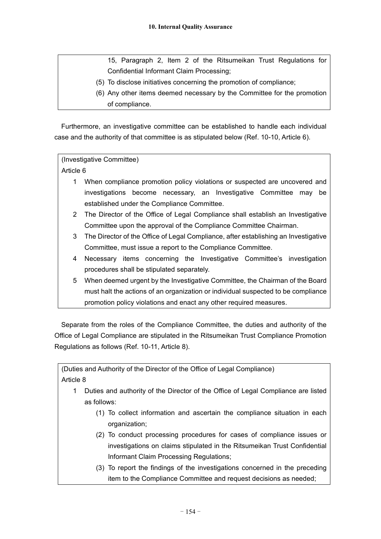15, Paragraph 2, Item 2 of the Ritsumeikan Trust Regulations for Confidential Informant Claim Processing;

- (5) To disclose initiatives concerning the promotion of compliance;
- (6) Any other items deemed necessary by the Committee for the promotion of compliance.

Furthermore, an investigative committee can be established to handle each individual case and the authority of that committee is as stipulated below (Ref. 10-10, Article 6).

# (Investigative Committee)

Article 6

- 1 When compliance promotion policy violations or suspected are uncovered and investigations become necessary, an Investigative Committee may be established under the Compliance Committee.
- 2 The Director of the Office of Legal Compliance shall establish an Investigative Committee upon the approval of the Compliance Committee Chairman.
- 3 The Director of the Office of Legal Compliance, after establishing an Investigative Committee, must issue a report to the Compliance Committee.
- 4 Necessary items concerning the Investigative Committee's investigation procedures shall be stipulated separately.
- 5 When deemed urgent by the Investigative Committee, the Chairman of the Board must halt the actions of an organization or individual suspected to be compliance promotion policy violations and enact any other required measures.

Separate from the roles of the Compliance Committee, the duties and authority of the Office of Legal Compliance are stipulated in the Ritsumeikan Trust Compliance Promotion Regulations as follows (Ref. 10-11, Article 8).

(Duties and Authority of the Director of the Office of Legal Compliance) Article 8

- 1 Duties and authority of the Director of the Office of Legal Compliance are listed as follows:
	- (1) To collect information and ascertain the compliance situation in each organization;
	- (2) To conduct processing procedures for cases of compliance issues or investigations on claims stipulated in the Ritsumeikan Trust Confidential Informant Claim Processing Regulations;
	- (3) To report the findings of the investigations concerned in the preceding item to the Compliance Committee and request decisions as needed;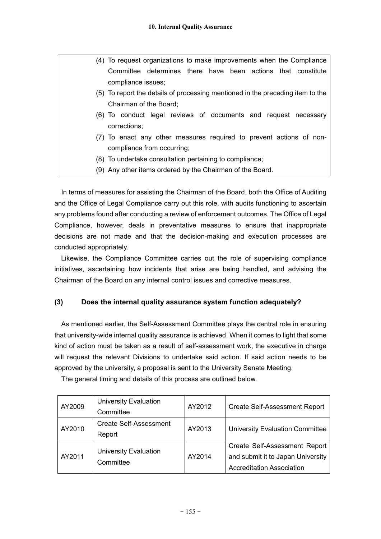| (4) To request organizations to make improvements when the Compliance          |  |  |
|--------------------------------------------------------------------------------|--|--|
| Committee determines there have been actions that constitute                   |  |  |
| compliance issues;                                                             |  |  |
| (5) To report the details of processing mentioned in the preceding item to the |  |  |
| Chairman of the Board;                                                         |  |  |
| (6) To conduct legal reviews of documents and request necessary                |  |  |
| corrections;                                                                   |  |  |
| (7) To enact any other measures required to prevent actions of non-            |  |  |
| compliance from occurring;                                                     |  |  |
| (8) To undertake consultation pertaining to compliance;                        |  |  |
| (9) Any other items ordered by the Chairman of the Board.                      |  |  |

In terms of measures for assisting the Chairman of the Board, both the Office of Auditing and the Office of Legal Compliance carry out this role, with audits functioning to ascertain any problems found after conducting a review of enforcement outcomes. The Office of Legal Compliance, however, deals in preventative measures to ensure that inappropriate decisions are not made and that the decision-making and execution processes are conducted appropriately.

Likewise, the Compliance Committee carries out the role of supervising compliance initiatives, ascertaining how incidents that arise are being handled, and advising the Chairman of the Board on any internal control issues and corrective measures.

# **(3) Does the internal quality assurance system function adequately?**

As mentioned earlier, the Self-Assessment Committee plays the central role in ensuring that university-wide internal quality assurance is achieved. When it comes to light that some kind of action must be taken as a result of self-assessment work, the executive in charge will request the relevant Divisions to undertake said action. If said action needs to be approved by the university, a proposal is sent to the University Senate Meeting.

| AY2009 | <b>University Evaluation</b><br>Committee | AY2012 | <b>Create Self-Assessment Report</b>                                                                   |
|--------|-------------------------------------------|--------|--------------------------------------------------------------------------------------------------------|
| AY2010 | <b>Create Self-Assessment</b><br>Report   | AY2013 | <b>University Evaluation Committee</b>                                                                 |
| AY2011 | <b>University Evaluation</b><br>Committee | AY2014 | Create Self-Assessment Report<br>and submit it to Japan University<br><b>Accreditation Association</b> |

The general timing and details of this process are outlined below.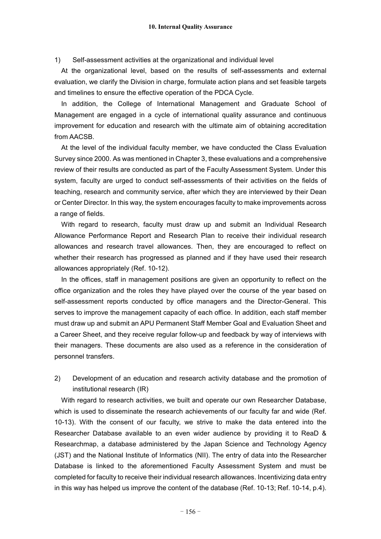1) Self-assessment activities at the organizational and individual level

At the organizational level, based on the results of self-assessments and external evaluation, we clarify the Division in charge, formulate action plans and set feasible targets and timelines to ensure the effective operation of the PDCA Cycle.

In addition, the College of International Management and Graduate School of Management are engaged in a cycle of international quality assurance and continuous improvement for education and research with the ultimate aim of obtaining accreditation from AACSB.

At the level of the individual faculty member, we have conducted the Class Evaluation Survey since 2000. As was mentioned in Chapter 3, these evaluations and a comprehensive review of their results are conducted as part of the Faculty Assessment System. Under this system, faculty are urged to conduct self-assessments of their activities on the fields of teaching, research and community service, after which they are interviewed by their Dean or Center Director. In this way, the system encourages faculty to make improvements across a range of fields.

With regard to research, faculty must draw up and submit an Individual Research Allowance Performance Report and Research Plan to receive their individual research allowances and research travel allowances. Then, they are encouraged to reflect on whether their research has progressed as planned and if they have used their research allowances appropriately (Ref. 10-12).

In the offices, staff in management positions are given an opportunity to reflect on the office organization and the roles they have played over the course of the year based on self-assessment reports conducted by office managers and the Director-General. This serves to improve the management capacity of each office. In addition, each staff member must draw up and submit an APU Permanent Staff Member Goal and Evaluation Sheet and a Career Sheet, and they receive regular follow-up and feedback by way of interviews with their managers. These documents are also used as a reference in the consideration of personnel transfers.

# 2) Development of an education and research activity database and the promotion of institutional research (IR)

With regard to research activities, we built and operate our own Researcher Database, which is used to disseminate the research achievements of our faculty far and wide (Ref. 10-13). With the consent of our faculty, we strive to make the data entered into the Researcher Database available to an even wider audience by providing it to ReaD & Researchmap, a database administered by the Japan Science and Technology Agency (JST) and the National Institute of Informatics (NII). The entry of data into the Researcher Database is linked to the aforementioned Faculty Assessment System and must be completed for faculty to receive their individual research allowances. Incentivizing data entry in this way has helped us improve the content of the database (Ref. 10-13; Ref. 10-14, p.4).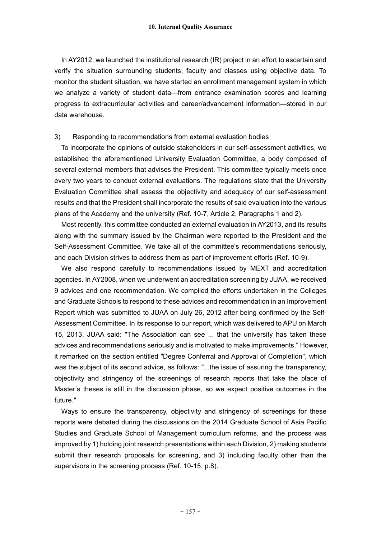In AY2012, we launched the institutional research (IR) project in an effort to ascertain and verify the situation surrounding students, faculty and classes using objective data. To monitor the student situation, we have started an enrollment management system in which we analyze a variety of student data—from entrance examination scores and learning progress to extracurricular activities and career/advancement information—stored in our data warehouse.

#### 3) Responding to recommendations from external evaluation bodies

To incorporate the opinions of outside stakeholders in our self-assessment activities, we established the aforementioned University Evaluation Committee, a body composed of several external members that advises the President. This committee typically meets once every two years to conduct external evaluations. The regulations state that the University Evaluation Committee shall assess the objectivity and adequacy of our self-assessment results and that the President shall incorporate the results of said evaluation into the various plans of the Academy and the university (Ref. 10-7, Article 2, Paragraphs 1 and 2).

Most recently, this committee conducted an external evaluation in AY2013, and its results along with the summary issued by the Chairman were reported to the President and the Self-Assessment Committee. We take all of the committee's recommendations seriously, and each Division strives to address them as part of improvement efforts (Ref. 10-9).

We also respond carefully to recommendations issued by MEXT and accreditation agencies. In AY2008, when we underwent an accreditation screening by JUAA, we received 9 advices and one recommendation. We compiled the efforts undertaken in the Colleges and Graduate Schools to respond to these advices and recommendation in an Improvement Report which was submitted to JUAA on July 26, 2012 after being confirmed by the Self-Assessment Committee. In its response to our report, which was delivered to APU on March 15, 2013, JUAA said: "The Association can see ... that the university has taken these advices and recommendations seriously and is motivated to make improvements." However, it remarked on the section entitled "Degree Conferral and Approval of Completion", which was the subject of its second advice, as follows: "...the issue of assuring the transparency, objectivity and stringency of the screenings of research reports that take the place of Master's theses is still in the discussion phase, so we expect positive outcomes in the future."

Ways to ensure the transparency, objectivity and stringency of screenings for these reports were debated during the discussions on the 2014 Graduate School of Asia Pacific Studies and Graduate School of Management curriculum reforms, and the process was improved by 1) holding joint research presentations within each Division, 2) making students submit their research proposals for screening, and 3) including faculty other than the supervisors in the screening process (Ref. 10-15, p.8).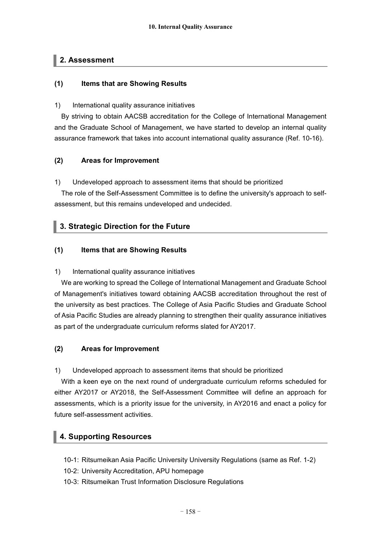# **2. Assessment**

## **(1) Items that are Showing Results**

#### 1) International quality assurance initiatives

By striving to obtain AACSB accreditation for the College of International Management and the Graduate School of Management, we have started to develop an internal quality assurance framework that takes into account international quality assurance (Ref. 10-16).

## **(2) Areas for Improvement**

1) Undeveloped approach to assessment items that should be prioritized

The role of the Self-Assessment Committee is to define the university's approach to selfassessment, but this remains undeveloped and undecided.

# **3. Strategic Direction for the Future**

## **(1) Items that are Showing Results**

## 1) International quality assurance initiatives

We are working to spread the College of International Management and Graduate School of Management's initiatives toward obtaining AACSB accreditation throughout the rest of the university as best practices. The College of Asia Pacific Studies and Graduate School of Asia Pacific Studies are already planning to strengthen their quality assurance initiatives as part of the undergraduate curriculum reforms slated for AY2017.

## **(2) Areas for Improvement**

1) Undeveloped approach to assessment items that should be prioritized

With a keen eye on the next round of undergraduate curriculum reforms scheduled for either AY2017 or AY2018, the Self-Assessment Committee will define an approach for assessments, which is a priority issue for the university, in AY2016 and enact a policy for future self-assessment activities.

# **4. Supporting Resources**

- 10-1: Ritsumeikan Asia Pacific University University Regulations (same as Ref. 1-2)
- 10-2: University Accreditation, APU homepage
- 10-3: Ritsumeikan Trust Information Disclosure Regulations